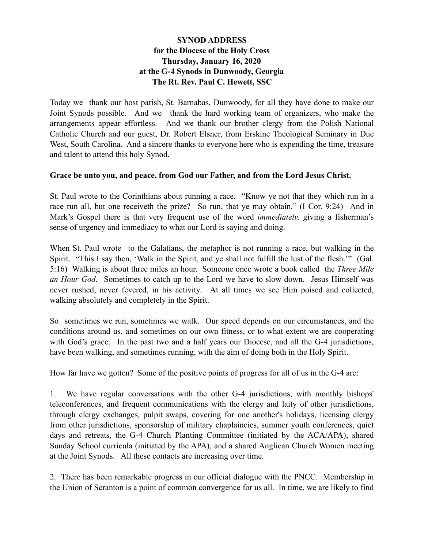## **SYNOD ADDRESS for the Diocese of the Holy Cross Thursday, January 16, 2020 at the G-4 Synods in Dunwoody, Georgia The Rt. Rev. Paul C. Hewett, SSC**

Today we thank our host parish, St. Barnabas, Dunwoody, for all they have done to make our Joint Synods possible. And we thank the hard working team of organizers, who make the arrangements appear effortless. And we thank our brother clergy from the Polish National Catholic Church and our guest, Dr. Robert Elsner, from Erskine Theological Seminary in Due West, South Carolina. And a sincere thanks to everyone here who is expending the time, treasure and talent to attend this holy Synod.

## **Grace be unto you, and peace, from God our Father, and from the Lord Jesus Christ.**

St. Paul wrote to the Corinthians about running a race. "Know ye not that they which run in a race run all, but one receiveth the prize? So run, that ye may obtain." (I Cor. 9:24) And in Mark's Gospel there is that very frequent use of the word *immediately,* giving a fisherman's sense of urgency and immediacy to what our Lord is saying and doing.

When St. Paul wrote to the Galatians, the metaphor is not running a race, but walking in the Spirit. "This I say then, 'Walk in the Spirit, and ye shall not fulfill the lust of the flesh.'" (Gal. 5:16) Walking is about three miles an hour. Someone once wrote a book called the *Three Mile an Hour God*. Sometimes to catch up to the Lord we have to slow down. Jesus Himself was never rushed, never fevered, in his activity. At all times we see Him poised and collected, walking absolutely and completely in the Spirit.

So sometimes we run, sometimes we walk. Our speed depends on our circumstances, and the conditions around us, and sometimes on our own fitness, or to what extent we are cooperating with God's grace. In the past two and a half years our Diocese, and all the G-4 jurisdictions, have been walking, and sometimes running, with the aim of doing both in the Holy Spirit.

How far have we gotten? Some of the positive points of progress for all of us in the G-4 are:

1. We have regular conversations with the other G-4 jurisdictions, with monthly bishops' teleconferences, and frequent communications with the clergy and laity of other jurisdictions, through clergy exchanges, pulpit swaps, covering for one another's holidays, licensing clergy from other jurisdictions, sponsorship of military chaplaincies, summer youth conferences, quiet days and retreats, the G-4 Church Planting Committee (initiated by the ACA/APA), shared Sunday School curricula (initiated by the APA), and a shared Anglican Church Women meeting at the Joint Synods. All these contacts are increasing over time.

2. There has been remarkable progress in our official dialogue with the PNCC. Membership in the Union of Scranton is a point of common convergence for us all. In time, we are likely to find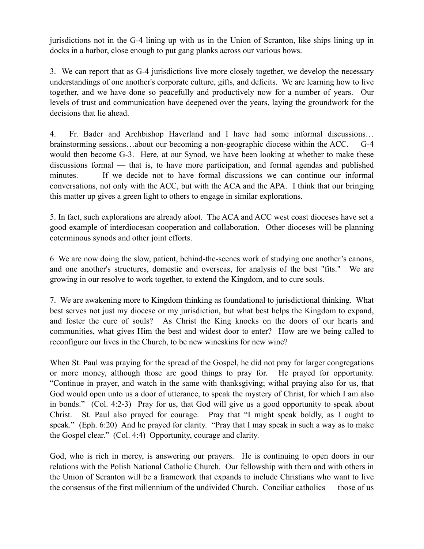jurisdictions not in the G-4 lining up with us in the Union of Scranton, like ships lining up in docks in a harbor, close enough to put gang planks across our various bows.

3. We can report that as G-4 jurisdictions live more closely together, we develop the necessary understandings of one another's corporate culture, gifts, and deficits. We are learning how to live together, and we have done so peacefully and productively now for a number of years. Our levels of trust and communication have deepened over the years, laying the groundwork for the decisions that lie ahead.

4. Fr. Bader and Archbishop Haverland and I have had some informal discussions… brainstorming sessions…about our becoming a non-geographic diocese within the ACC. G-4 would then become G-3. Here, at our Synod, we have been looking at whether to make these discussions formal — that is, to have more participation, and formal agendas and published minutes. If we decide not to have formal discussions we can continue our informal conversations, not only with the ACC, but with the ACA and the APA. I think that our bringing this matter up gives a green light to others to engage in similar explorations.

5. In fact, such explorations are already afoot. The ACA and ACC west coast dioceses have set a good example of interdiocesan cooperation and collaboration. Other dioceses will be planning coterminous synods and other joint efforts.

6 We are now doing the slow, patient, behind-the-scenes work of studying one another's canons, and one another's structures, domestic and overseas, for analysis of the best "fits." We are growing in our resolve to work together, to extend the Kingdom, and to cure souls.

7. We are awakening more to Kingdom thinking as foundational to jurisdictional thinking. What best serves not just my diocese or my jurisdiction, but what best helps the Kingdom to expand, and foster the cure of souls? As Christ the King knocks on the doors of our hearts and communities, what gives Him the best and widest door to enter? How are we being called to reconfigure our lives in the Church, to be new wineskins for new wine?

When St. Paul was praying for the spread of the Gospel, he did not pray for larger congregations or more money, although those are good things to pray for. He prayed for opportunity. "Continue in prayer, and watch in the same with thanksgiving; withal praying also for us, that God would open unto us a door of utterance, to speak the mystery of Christ, for which I am also in bonds." (Col. 4:2-3) Pray for us, that God will give us a good opportunity to speak about Christ. St. Paul also prayed for courage. Pray that "I might speak boldly, as I ought to speak." (Eph. 6:20) And he prayed for clarity. "Pray that I may speak in such a way as to make the Gospel clear." (Col. 4:4) Opportunity, courage and clarity.

God, who is rich in mercy, is answering our prayers. He is continuing to open doors in our relations with the Polish National Catholic Church. Our fellowship with them and with others in the Union of Scranton will be a framework that expands to include Christians who want to live the consensus of the first millennium of the undivided Church. Conciliar catholics — those of us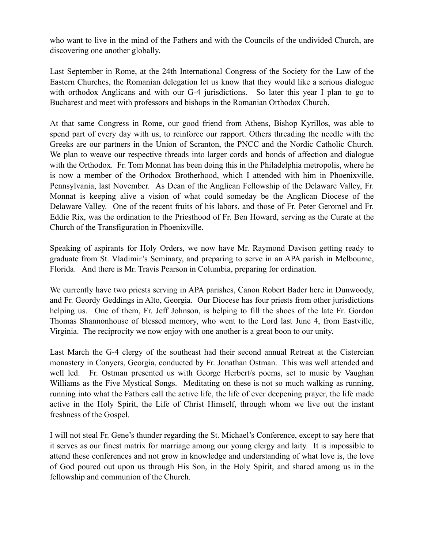who want to live in the mind of the Fathers and with the Councils of the undivided Church, are discovering one another globally.

Last September in Rome, at the 24th International Congress of the Society for the Law of the Eastern Churches, the Romanian delegation let us know that they would like a serious dialogue with orthodox Anglicans and with our G-4 jurisdictions. So later this year I plan to go to Bucharest and meet with professors and bishops in the Romanian Orthodox Church.

At that same Congress in Rome, our good friend from Athens, Bishop Kyrillos, was able to spend part of every day with us, to reinforce our rapport. Others threading the needle with the Greeks are our partners in the Union of Scranton, the PNCC and the Nordic Catholic Church. We plan to weave our respective threads into larger cords and bonds of affection and dialogue with the Orthodox. Fr. Tom Monnat has been doing this in the Philadelphia metropolis, where he is now a member of the Orthodox Brotherhood, which I attended with him in Phoenixville, Pennsylvania, last November. As Dean of the Anglican Fellowship of the Delaware Valley, Fr. Monnat is keeping alive a vision of what could someday be the Anglican Diocese of the Delaware Valley. One of the recent fruits of his labors, and those of Fr. Peter Geromel and Fr. Eddie Rix, was the ordination to the Priesthood of Fr. Ben Howard, serving as the Curate at the Church of the Transfiguration in Phoenixville.

Speaking of aspirants for Holy Orders, we now have Mr. Raymond Davison getting ready to graduate from St. Vladimir's Seminary, and preparing to serve in an APA parish in Melbourne, Florida. And there is Mr. Travis Pearson in Columbia, preparing for ordination.

We currently have two priests serving in APA parishes, Canon Robert Bader here in Dunwoody, and Fr. Geordy Geddings in Alto, Georgia. Our Diocese has four priests from other jurisdictions helping us. One of them, Fr. Jeff Johnson, is helping to fill the shoes of the late Fr. Gordon Thomas Shannonhouse of blessed memory, who went to the Lord last June 4, from Eastville, Virginia. The reciprocity we now enjoy with one another is a great boon to our unity.

Last March the G-4 clergy of the southeast had their second annual Retreat at the Cistercian monastery in Conyers, Georgia, conducted by Fr. Jonathan Ostman. This was well attended and well led. Fr. Ostman presented us with George Herbert/s poems, set to music by Vaughan Williams as the Five Mystical Songs. Meditating on these is not so much walking as running, running into what the Fathers call the active life, the life of ever deepening prayer, the life made active in the Holy Spirit, the Life of Christ Himself, through whom we live out the instant freshness of the Gospel.

I will not steal Fr. Gene's thunder regarding the St. Michael's Conference, except to say here that it serves as our finest matrix for marriage among our young clergy and laity. It is impossible to attend these conferences and not grow in knowledge and understanding of what love is, the love of God poured out upon us through His Son, in the Holy Spirit, and shared among us in the fellowship and communion of the Church.